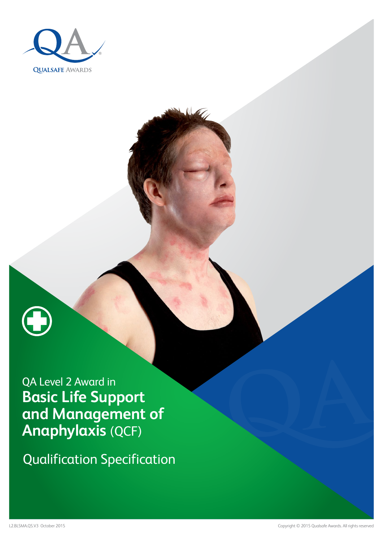



Qualification Specification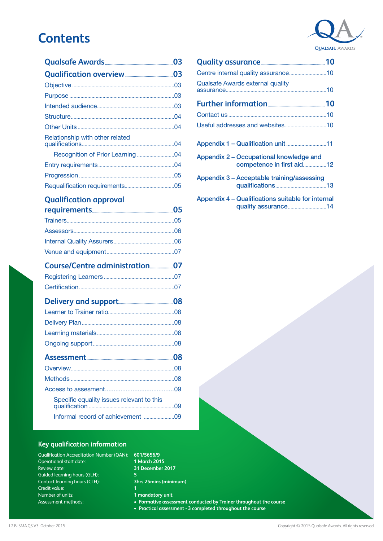## **Contents**

### **[Qualification approval](#page-4-0)**

| Delivery and support 200 million 08 |
|-------------------------------------|
|                                     |
|                                     |
|                                     |
|                                     |
|                                     |
|                                     |
|                                     |
|                                     |
|                                     |
|                                     |
|                                     |

#### **Key qualification information**

| Qualification Accreditation Number (QAN): |
|-------------------------------------------|
| Operational start date:                   |
| <b>Review date:</b>                       |
| Guided learning hours (GLH):              |
| Contact learning hours (CLH):             |
| Credit value:                             |
| Number of units:                          |
| Assessment methods:                       |
|                                           |

**601/5656/9 1 March 2015 31 December 2017 5 3hrs 25mins (minimum)**

**1 mandatory unit**

- **Formative assessment conducted by Trainer throughout the course**
- **Practical assessment 3 completed throughout the course**

| <b>Qualsafe Awards external quality</b>                              |  |
|----------------------------------------------------------------------|--|
|                                                                      |  |
|                                                                      |  |
|                                                                      |  |
| Appendix 1 - Qualification unit 11                                   |  |
| Appendix 2 - Occupational knowledge and<br>competence in first aid12 |  |
| Appendix 3 - Acceptable training/assessing                           |  |
| Appendix 4 – Qualifications suitable for internal                    |  |

[quality assurance](#page-13-0)............................14





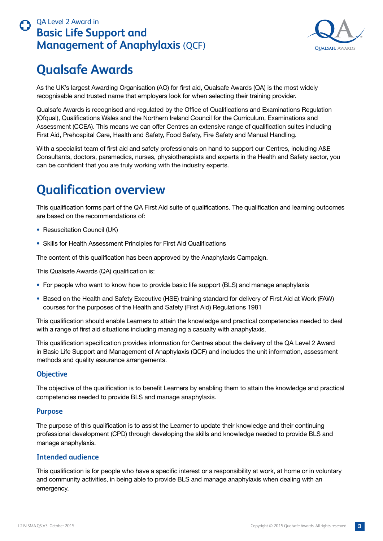

## <span id="page-2-0"></span>**Qualsafe Awards**

As the UK's largest Awarding Organisation (AO) for first aid, Qualsafe Awards (QA) is the most widely recognisable and trusted name that employers look for when selecting their training provider.

Qualsafe Awards is recognised and regulated by the Office of Qualifications and Examinations Regulation (Ofqual), Qualifications Wales and the Northern Ireland Council for the Curriculum, Examinations and Assessment (CCEA). This means we can offer Centres an extensive range of qualification suites including First Aid, Prehospital Care, Health and Safety, Food Safety, Fire Safety and Manual Handling.

With a specialist team of first aid and safety professionals on hand to support our Centres, including A&E Consultants, doctors, paramedics, nurses, physiotherapists and experts in the Health and Safety sector, you can be confident that you are truly working with the industry experts.

## **Qualification overview**

This qualification forms part of the QA First Aid suite of qualifications. The qualification and learning outcomes are based on the recommendations of:

- Resuscitation Council (UK)
- Skills for Health Assessment Principles for First Aid Qualifications

The content of this qualification has been approved by the Anaphylaxis Campaign.

This Qualsafe Awards (QA) qualification is:

- For people who want to know how to provide basic life support (BLS) and manage anaphylaxis
- Based on the Health and Safety Executive (HSE) training standard for delivery of First Aid at Work (FAW) courses for the purposes of the Health and Safety (First Aid) Regulations 1981

This qualification should enable Learners to attain the knowledge and practical competencies needed to deal with a range of first aid situations including managing a casualty with anaphylaxis.

This qualification specification provides information for Centres about the delivery of the QA Level 2 Award in Basic Life Support and Management of Anaphylaxis (QCF) and includes the unit information, assessment methods and quality assurance arrangements.

#### **Objective**

The objective of the qualification is to benefit Learners by enabling them to attain the knowledge and practical competencies needed to provide BLS and manage anaphylaxis.

#### **Purpose**

The purpose of this qualification is to assist the Learner to update their knowledge and their continuing professional development (CPD) through developing the skills and knowledge needed to provide BLS and manage anaphylaxis.

#### **Intended audience**

This qualification is for people who have a specific interest or a responsibility at work, at home or in voluntary and community activities, in being able to provide BLS and manage anaphylaxis when dealing with an emergency.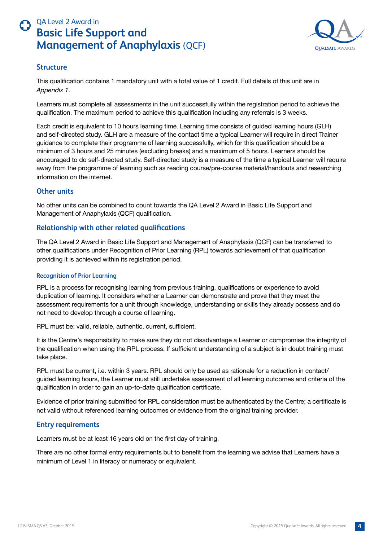

#### <span id="page-3-0"></span>**Structure**

This qualification contains 1 mandatory unit with a total value of 1 credit. Full details of this unit are in *Appendix 1*.

Learners must complete all assessments in the unit successfully within the registration period to achieve the qualification. The maximum period to achieve this qualification including any referrals is 3 weeks.

Each credit is equivalent to 10 hours learning time. Learning time consists of guided learning hours (GLH) and self-directed study. GLH are a measure of the contact time a typical Learner will require in direct Trainer guidance to complete their programme of learning successfully, which for this qualification should be a minimum of 3 hours and 25 minutes (excluding breaks) and a maximum of 5 hours. Learners should be encouraged to do self-directed study. Self-directed study is a measure of the time a typical Learner will require away from the programme of learning such as reading course/pre-course material/handouts and researching information on the internet.

#### **Other units**

No other units can be combined to count towards the QA Level 2 Award in Basic Life Support and Management of Anaphylaxis (QCF) qualification.

#### **Relationship with other related qualifications**

The QA Level 2 Award in Basic Life Support and Management of Anaphylaxis (QCF) can be transferred to other qualifications under Recognition of Prior Learning (RPL) towards achievement of that qualification providing it is achieved within its registration period.

#### **Recognition of Prior Learning**

RPL is a process for recognising learning from previous training, qualifications or experience to avoid duplication of learning. It considers whether a Learner can demonstrate and prove that they meet the assessment requirements for a unit through knowledge, understanding or skills they already possess and do not need to develop through a course of learning.

RPL must be: valid, reliable, authentic, current, sufficient.

It is the Centre's responsibility to make sure they do not disadvantage a Learner or compromise the integrity of the qualification when using the RPL process. If sufficient understanding of a subject is in doubt training must take place.

RPL must be current, i.e. within 3 years. RPL should only be used as rationale for a reduction in contact/ guided learning hours, the Learner must still undertake assessment of all learning outcomes and criteria of the qualification in order to gain an up-to-date qualification certificate.

Evidence of prior training submitted for RPL consideration must be authenticated by the Centre; a certificate is not valid without referenced learning outcomes or evidence from the original training provider.

#### **Entry requirements**

Learners must be at least 16 years old on the first day of training.

There are no other formal entry requirements but to benefit from the learning we advise that Learners have a minimum of Level 1 in literacy or numeracy or equivalent.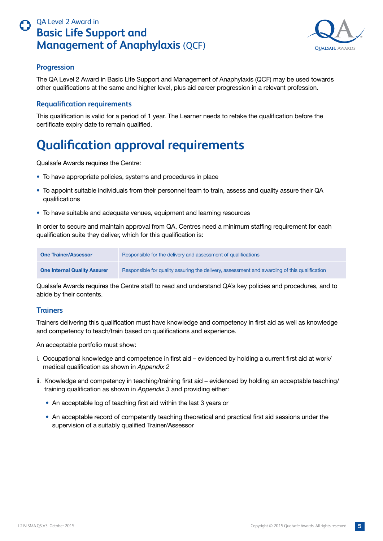

#### <span id="page-4-0"></span>**Progression**

The QA Level 2 Award in Basic Life Support and Management of Anaphylaxis (QCF) may be used towards other qualifications at the same and higher level, plus aid career progression in a relevant profession.

#### **Requalification requirements**

This qualification is valid for a period of 1 year. The Learner needs to retake the qualification before the certificate expiry date to remain qualified.

## **Qualification approval requirements**

Qualsafe Awards requires the Centre:

- To have appropriate policies, systems and procedures in place
- To appoint suitable individuals from their personnel team to train, assess and quality assure their QA qualifications
- To have suitable and adequate venues, equipment and learning resources

In order to secure and maintain approval from QA, Centres need a minimum staffing requirement for each qualification suite they deliver, which for this qualification is:

| <b>One Trainer/Assessor</b>         | Responsible for the delivery and assessment of qualifications                                |
|-------------------------------------|----------------------------------------------------------------------------------------------|
| <b>One Internal Quality Assurer</b> | Responsible for quality assuring the delivery, assessment and awarding of this qualification |

Qualsafe Awards requires the Centre staff to read and understand QA's key policies and procedures, and to abide by their contents.

#### **Trainers**

Trainers delivering this qualification must have knowledge and competency in first aid as well as knowledge and competency to teach/train based on qualifications and experience.

An acceptable portfolio must show:

- i. Occupational knowledge and competence in first aid evidenced by holding a current first aid at work/ medical qualification as shown in *Appendix 2*
- ii. Knowledge and competency in teaching/training first aid evidenced by holding an acceptable teaching/ training qualification as shown in *Appendix 3* and providing either:
	- An acceptable log of teaching first aid within the last 3 years or
	- An acceptable record of competently teaching theoretical and practical first aid sessions under the supervision of a suitably qualified Trainer/Assessor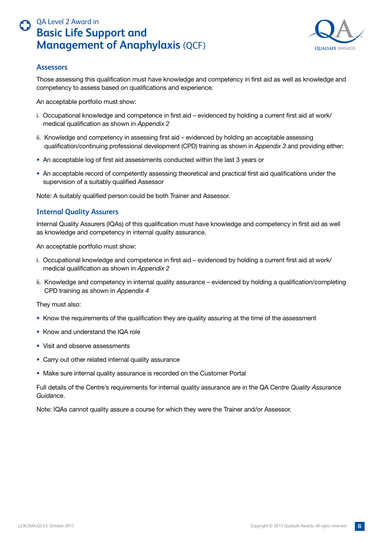

#### <span id="page-5-0"></span>**Assessors**

Those assessing this qualification must have knowledge and competency in first aid as well as knowledge and competency to assess based on qualifications and experience.

An acceptable portfolio must show:

- i. Occupational knowledge and competence in first aid evidenced by holding a current first aid at work/ medical qualification as shown in *Appendix 2*
- ii. Knowledge and competency in assessing first aid evidenced by holding an acceptable assessing qualification/continuing professional development (CPD) training as shown in *Appendix 3* and providing either:
- An acceptable log of first aid assessments conducted within the last 3 years or
- An acceptable record of competently assessing theoretical and practical first aid qualifications under the supervision of a suitably qualified Assessor

Note: A suitably qualified person could be both Trainer and Assessor.

#### **Internal Quality Assurers**

Internal Quality Assurers (IQAs) of this qualification must have knowledge and competency in first aid as well as knowledge and competency in internal quality assurance.

An acceptable portfolio must show:

- i. Occupational knowledge and competence in first aid evidenced by holding a current first aid at work/ medical qualification as shown in *Appendix 2*
- ii. Knowledge and competency in internal quality assurance evidenced by holding a qualification/completing CPD training as shown in *Appendix 4*

They must also:

- Know the requirements of the qualification they are quality assuring at the time of the assessment
- Know and understand the IQA role
- Visit and observe assessments
- Carry out other related internal quality assurance
- Make sure internal quality assurance is recorded on the Customer Portal

Full details of the Centre's requirements for internal quality assurance are in the QA *Centre Quality Assurance Guidance*.

Note: IQAs cannot quality assure a course for which they were the Trainer and/or Assessor.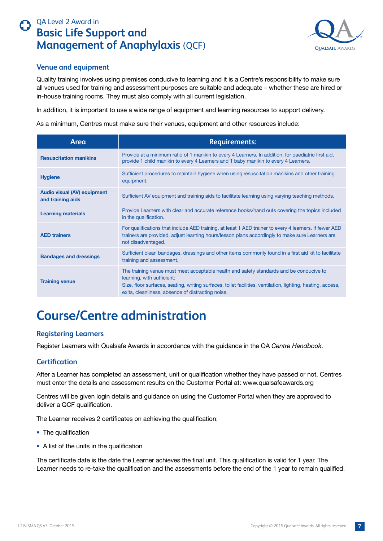

#### **Venue and equipment**

Quality training involves using premises conducive to learning and it is a Centre's responsibility to make sure all venues used for training and assessment purposes are suitable and adequate – whether these are hired or in-house training rooms. They must also comply with all current legislation.

In addition, it is important to use a wide range of equipment and learning resources to support delivery.

As a minimum, Centres must make sure their venues, equipment and other resources include:

| Area                                                    | <b>Requirements:</b>                                                                                                                                                                                                                                                                      |
|---------------------------------------------------------|-------------------------------------------------------------------------------------------------------------------------------------------------------------------------------------------------------------------------------------------------------------------------------------------|
| <b>Resuscitation manikins</b>                           | Provide at a minimum ratio of 1 manikin to every 4 Learners. In addition, for paediatric first aid,<br>provide 1 child manikin to every 4 Learners and 1 baby manikin to every 4 Learners.                                                                                                |
| <b>Hygiene</b>                                          | Sufficient procedures to maintain hygiene when using resuscitation manikins and other training<br>equipment.                                                                                                                                                                              |
| <b>Audio visual (AV) equipment</b><br>and training aids | Sufficient AV equipment and training aids to facilitate learning using varying teaching methods.                                                                                                                                                                                          |
| <b>Learning materials</b>                               | Provide Learners with clear and accurate reference books/hand outs covering the topics included<br>in the qualification.                                                                                                                                                                  |
| <b>AED trainers</b>                                     | For qualifications that include AED training, at least 1 AED trainer to every 4 learners. If fewer AED<br>trainers are provided, adjust learning hours/lesson plans accordingly to make sure Learners are<br>not disadvantaged.                                                           |
| <b>Bandages and dressings</b>                           | Sufficient clean bandages, dressings and other items commonly found in a first aid kit to facilitate<br>training and assessment.                                                                                                                                                          |
| <b>Training venue</b>                                   | The training venue must meet acceptable health and safety standards and be conducive to<br>learning, with sufficient:<br>Size, floor surfaces, seating, writing surfaces, toilet facilities, ventilation, lighting, heating, access,<br>exits, cleanliness, absence of distracting noise. |

## **Course/Centre administration**

#### **Registering Learners**

Register Learners with Qualsafe Awards in accordance with the guidance in the QA *Centre Handbook*.

#### **Certification**

After a Learner has completed an assessment, unit or qualification whether they have passed or not, Centres must enter the details and assessment results on the Customer Portal at: www.qualsafeawards.org

Centres will be given login details and guidance on using the Customer Portal when they are approved to deliver a QCF qualification.

The Learner receives 2 certificates on achieving the qualification:

- The qualification
- A list of the units in the qualification

The certificate date is the date the Learner achieves the final unit. This qualification is valid for 1 year. The Learner needs to re-take the qualification and the assessments before the end of the 1 year to remain qualified.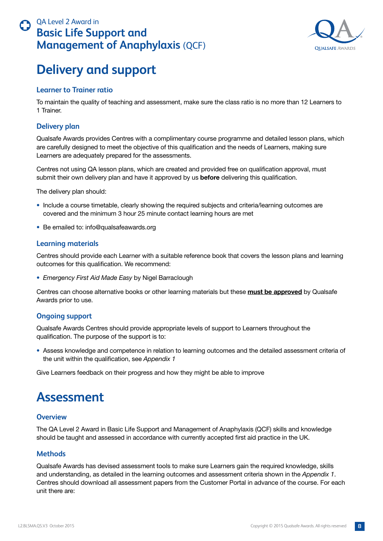

## <span id="page-7-0"></span>**Delivery and support**

#### **Learner to Trainer ratio**

To maintain the quality of teaching and assessment, make sure the class ratio is no more than 12 Learners to 1 Trainer.

#### **Delivery plan**

Qualsafe Awards provides Centres with a complimentary course programme and detailed lesson plans, which are carefully designed to meet the objective of this qualification and the needs of Learners, making sure Learners are adequately prepared for the assessments.

Centres not using QA lesson plans, which are created and provided free on qualification approval, must submit their own delivery plan and have it approved by us **before** delivering this qualification.

The delivery plan should:

- Include a course timetable, clearly showing the required subjects and criteria/learning outcomes are covered and the minimum 3 hour 25 minute contact learning hours are met
- Be emailed to: info@qualsafeawards.org

#### **Learning materials**

Centres should provide each Learner with a suitable reference book that covers the lesson plans and learning outcomes for this qualification. We recommend:

• *Emergency First Aid Made Easy* by Nigel Barraclough

Centres can choose alternative books or other learning materials but these **must be approved** by Qualsafe Awards prior to use.

#### **Ongoing support**

Qualsafe Awards Centres should provide appropriate levels of support to Learners throughout the qualification. The purpose of the support is to:

• Assess knowledge and competence in relation to learning outcomes and the detailed assessment criteria of the unit within the qualification, see *Appendix 1*

Give Learners feedback on their progress and how they might be able to improve

## **Assessment**

#### **Overview**

The QA Level 2 Award in Basic Life Support and Management of Anaphylaxis (QCF) skills and knowledge should be taught and assessed in accordance with currently accepted first aid practice in the UK.

#### **Methods**

Qualsafe Awards has devised assessment tools to make sure Learners gain the required knowledge, skills and understanding, as detailed in the learning outcomes and assessment criteria shown in the *Appendix 1*. Centres should download all assessment papers from the Customer Portal in advance of the course. For each unit there are: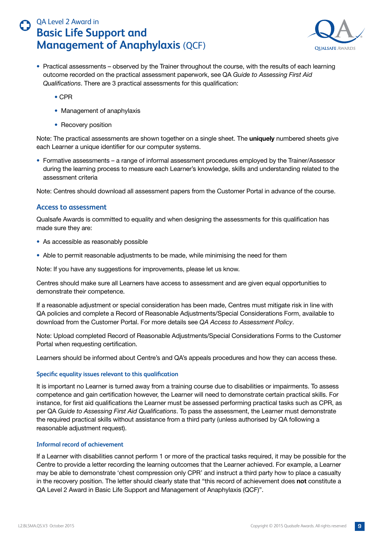

- <span id="page-8-0"></span>• Practical assessments – observed by the Trainer throughout the course, with the results of each learning outcome recorded on the practical assessment paperwork, see QA *Guide to Assessing First Aid Qualifications*. There are 3 practical assessments for this qualification:
	- CPR
	- Management of anaphylaxis
	- Recovery position

Note: The practical assessments are shown together on a single sheet. The **uniquely** numbered sheets give each Learner a unique identifier for our computer systems.

• Formative assessments – a range of informal assessment procedures employed by the Trainer/Assessor during the learning process to measure each Learner's knowledge, skills and understanding related to the assessment criteria

Note: Centres should download all assessment papers from the Customer Portal in advance of the course.

#### **Access to assessment**

Qualsafe Awards is committed to equality and when designing the assessments for this qualification has made sure they are:

- As accessible as reasonably possible
- Able to permit reasonable adjustments to be made, while minimising the need for them

Note: If you have any suggestions for improvements, please let us know.

Centres should make sure all Learners have access to assessment and are given equal opportunities to demonstrate their competence.

If a reasonable adjustment or special consideration has been made, Centres must mitigate risk in line with QA policies and complete a Record of Reasonable Adjustments/Special Considerations Form, available to download from the Customer Portal. For more details see *QA Access to Assessment Policy*.

Note: Upload completed Record of Reasonable Adjustments/Special Considerations Forms to the Customer Portal when requesting certification.

Learners should be informed about Centre's and QA's appeals procedures and how they can access these.

#### **Specific equality issues relevant to this qualification**

It is important no Learner is turned away from a training course due to disabilities or impairments. To assess competence and gain certification however, the Learner will need to demonstrate certain practical skills. For instance, for first aid qualifications the Learner must be assessed performing practical tasks such as CPR, as per QA *Guide to Assessing First Aid Qualifications*. To pass the assessment, the Learner must demonstrate the required practical skills without assistance from a third party (unless authorised by QA following a reasonable adjustment request).

#### **Informal record of achievement**

If a Learner with disabilities cannot perform 1 or more of the practical tasks required, it may be possible for the Centre to provide a letter recording the learning outcomes that the Learner achieved. For example, a Learner may be able to demonstrate 'chest compression only CPR' and instruct a third party how to place a casualty in the recovery position. The letter should clearly state that "this record of achievement does **not** constitute a QA Level 2 Award in Basic Life Support and Management of Anaphylaxis (QCF)".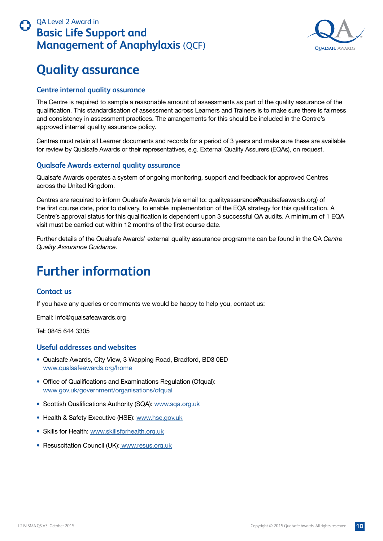

## <span id="page-9-0"></span>**Quality assurance**

#### **Centre internal quality assurance**

The Centre is required to sample a reasonable amount of assessments as part of the quality assurance of the qualification. This standardisation of assessment across Learners and Trainers is to make sure there is fairness and consistency in assessment practices. The arrangements for this should be included in the Centre's approved internal quality assurance policy.

Centres must retain all Learner documents and records for a period of 3 years and make sure these are available for review by Qualsafe Awards or their representatives, e.g. External Quality Assurers (EQAs), on request.

#### **Qualsafe Awards external quality assurance**

Qualsafe Awards operates a system of ongoing monitoring, support and feedback for approved Centres across the United Kingdom.

Centres are required to inform Qualsafe Awards (via email to: qualityassurance@qualsafeawards.org) of the first course date, prior to delivery, to enable implementation of the EQA strategy for this qualification. A Centre's approval status for this qualification is dependent upon 3 successful QA audits. A minimum of 1 EQA visit must be carried out within 12 months of the first course date.

Further details of the Qualsafe Awards' external quality assurance programme can be found in the QA *Centre Quality Assurance Guidance*.

## **Further information**

#### **Contact us**

If you have any queries or comments we would be happy to help you, contact us:

Email: info@qualsafeawards.org

Tel: 0845 644 3305

#### **Useful addresses and websites**

- Qualsafe Awards, City View, 3 Wapping Road, Bradford, BD3 0ED www.qualsafeawards.org/home
- Office of Qualifications and Examinations Regulation (Ofqual): www.gov.uk/government/organisations/ofqual
- Scottish Qualifications Authority (SQA): www.sqa.org.uk
- Health & Safety Executive (HSE): www.hse.gov.uk
- Skills for Health: www.skillsforhealth.org.uk
- Resuscitation Council (UK): www.resus.org.uk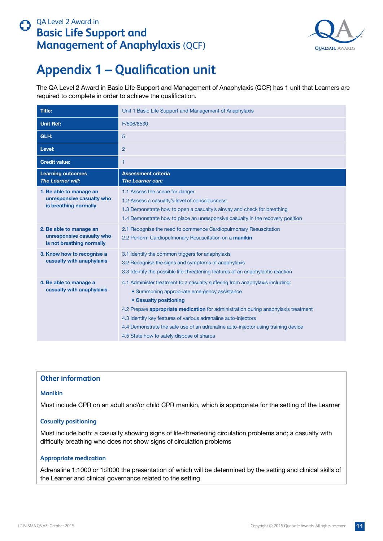

## <span id="page-10-0"></span>**Appendix 1 – Qualification unit**

The QA Level 2 Award in Basic Life Support and Management of Anaphylaxis (QCF) has 1 unit that Learners are required to complete in order to achieve the qualification.

| <b>Title:</b>                                                                     | Unit 1 Basic Life Support and Management of Anaphylaxis                                                                                                                                                                                                                                                                                                                                                                                                 |
|-----------------------------------------------------------------------------------|---------------------------------------------------------------------------------------------------------------------------------------------------------------------------------------------------------------------------------------------------------------------------------------------------------------------------------------------------------------------------------------------------------------------------------------------------------|
| <b>Unit Ref:</b>                                                                  | F/506/8530                                                                                                                                                                                                                                                                                                                                                                                                                                              |
| GLH:                                                                              | 5                                                                                                                                                                                                                                                                                                                                                                                                                                                       |
| Level:                                                                            | $\overline{2}$                                                                                                                                                                                                                                                                                                                                                                                                                                          |
| <b>Credit value:</b>                                                              | 1                                                                                                                                                                                                                                                                                                                                                                                                                                                       |
| <b>Learning outcomes</b><br>The Learner will:                                     | <b>Assessment criteria</b><br>The Learner can:                                                                                                                                                                                                                                                                                                                                                                                                          |
| 1. Be able to manage an<br>unresponsive casualty who<br>is breathing normally     | 1.1 Assess the scene for danger<br>1.2 Assess a casualty's level of consciousness<br>1.3 Demonstrate how to open a casualty's airway and check for breathing<br>1.4 Demonstrate how to place an unresponsive casualty in the recovery position                                                                                                                                                                                                          |
| 2. Be able to manage an<br>unresponsive casualty who<br>is not breathing normally | 2.1 Recognise the need to commence Cardiopulmonary Resuscitation<br>2.2 Perform Cardiopulmonary Resuscitation on a manikin                                                                                                                                                                                                                                                                                                                              |
| 3. Know how to recognise a<br>casualty with anaphylaxis                           | 3.1 Identify the common triggers for anaphylaxis<br>3.2 Recognise the signs and symptoms of anaphylaxis<br>3.3 Identify the possible life-threatening features of an anaphylactic reaction                                                                                                                                                                                                                                                              |
| 4. Be able to manage a<br>casualty with anaphylaxis                               | 4.1 Administer treatment to a casualty suffering from anaphylaxis including:<br>• Summoning appropriate emergency assistance<br>• Casualty positioning<br>4.2 Prepare <b>appropriate medication</b> for administration during anaphylaxis treatment<br>4.3 Identify key features of various adrenaline auto-injectors<br>4.4 Demonstrate the safe use of an adrenaline auto-injector using training device<br>4.5 State how to safely dispose of sharps |

#### **Other information**

#### **Manikin**

Must include CPR on an adult and/or child CPR manikin, which is appropriate for the setting of the Learner

#### **Casualty positioning**

Must include both: a casualty showing signs of life-threatening circulation problems and; a casualty with difficulty breathing who does not show signs of circulation problems

#### **Appropriate medication**

Adrenaline 1:1000 or 1:2000 the presentation of which will be determined by the setting and clinical skills of the Learner and clinical governance related to the setting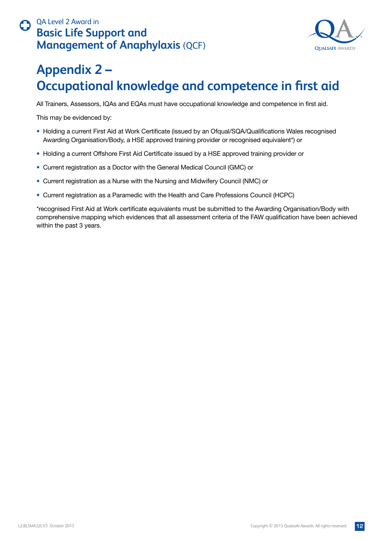

# <span id="page-11-0"></span>**Appendix 2 – Occupational knowledge and competence in first aid**

All Trainers, Assessors, IQAs and EQAs must have occupational knowledge and competence in first aid.

This may be evidenced by:

- Holding a current First Aid at Work Certificate (issued by an Ofqual/SQA/Qualifications Wales recognised Awarding Organisation/Body, a HSE approved training provider or recognised equivalent\*) or
- Holding a current Offshore First Aid Certificate issued by a HSE approved training provider or
- Current registration as a Doctor with the General Medical Council (GMC) or
- Current registration as a Nurse with the Nursing and Midwifery Council (NMC) or
- Current registration as a Paramedic with the Health and Care Professions Council (HCPC)

\*recognised First Aid at Work certificate equivalents must be submitted to the Awarding Organisation/Body with comprehensive mapping which evidences that all assessment criteria of the FAW qualification have been achieved within the past 3 years.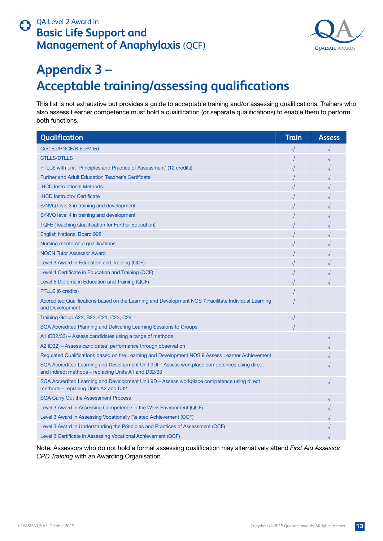

# <span id="page-12-0"></span>**Appendix 3 – Acceptable training/assessing qualifications**

This list is not exhaustive but provides a guide to acceptable training and/or assessing qualifications. Trainers who also assess Learner competence must hold a qualification (or separate qualifications) to enable them to perform both functions.

| Qualification                                                                                                                                        | <b>Train</b> | <b>Assess</b> |
|------------------------------------------------------------------------------------------------------------------------------------------------------|--------------|---------------|
| Cert Ed/PGCE/B Ed/M Ed                                                                                                                               |              |               |
| <b>CTLLS/DTLLS</b>                                                                                                                                   |              |               |
| PTLLS with unit 'Principles and Practice of Assessment' (12 credits)                                                                                 |              |               |
| <b>Further and Adult Education Teacher's Certificate</b>                                                                                             |              |               |
| <b>IHCD Instructional Methods</b>                                                                                                                    |              |               |
| <b>IHCD Instructor Certificate</b>                                                                                                                   |              |               |
| S/NVQ level 3 in training and development                                                                                                            |              |               |
| S/NVQ level 4 in training and development                                                                                                            |              |               |
| <b>TQFE (Teaching Qualification for Further Education)</b>                                                                                           |              |               |
| <b>English National Board 998</b>                                                                                                                    |              |               |
| Nursing mentorship qualifications                                                                                                                    |              |               |
| <b>NOCN Tutor Assessor Award</b>                                                                                                                     |              |               |
| Level 3 Award in Education and Training (QCF)                                                                                                        |              |               |
| Level 4 Certificate in Education and Training (QCF)                                                                                                  |              |               |
| Level 5 Diploma in Education and Training (QCF)                                                                                                      |              |               |
| PTLLS (6 credits)                                                                                                                                    |              |               |
| Accredited Qualifications based on the Learning and Development NOS 7 Facilitate Individual Learning<br>and Development                              |              |               |
| Training Group A22, B22, C21, C23, C24                                                                                                               |              |               |
| SQA Accredited Planning and Delivering Learning Sessions to Groups                                                                                   |              |               |
| A1 (D32/33) – Assess candidates using a range of methods                                                                                             |              |               |
| A2 (D32) – Assess candidates' performance through observation                                                                                        |              |               |
| Regulated Qualifications based on the Learning and Development NOS 9 Assess Learner Achievement                                                      |              |               |
| SQA Accredited Learning and Development Unit 9DI - Assess workplace competences using direct<br>and indirect methods - replacing Units A1 and D32/33 |              |               |
| SQA Accredited Learning and Development Unit 9D - Assess workplace competence using direct<br>methods – replacing Units A2 and D32                   |              |               |
| <b>SQA Carry Out the Assessment Process</b>                                                                                                          |              |               |
| Level 3 Award in Assessing Competence in the Work Environment (QCF)                                                                                  |              |               |
| Level 3 Award in Assessing Vocationally Related Achievement (QCF)                                                                                    |              |               |
| Level 3 Award in Understanding the Principles and Practices of Assessment (QCF)                                                                      |              |               |
| Level 3 Certificate in Assessing Vocational Achievement (QCF)                                                                                        |              |               |

Note: Assessors who do not hold a formal assessing qualification may alternatively attend *First Aid Assessor CPD Training* with an Awarding Organisation.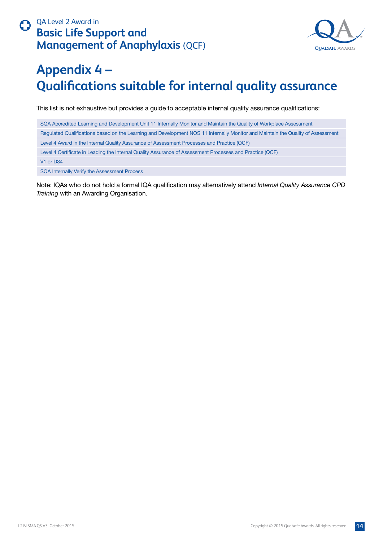

# <span id="page-13-0"></span>**Appendix 4 – Qualifications suitable for internal quality assurance**

This list is not exhaustive but provides a guide to acceptable internal quality assurance qualifications:

SQA Accredited Learning and Development Unit 11 Internally Monitor and Maintain the Quality of Workplace Assessment Regulated Qualifications based on the Learning and Development NOS 11 Internally Monitor and Maintain the Quality of Assessment Level 4 Award in the Internal Quality Assurance of Assessment Processes and Practice (QCF) Level 4 Certificate in Leading the Internal Quality Assurance of Assessment Processes and Practice (QCF) V1 or D34 SQA Internally Verify the Assessment Process

Note: IQAs who do not hold a formal IQA qualification may alternatively attend *Internal Quality Assurance CPD Training* with an Awarding Organisation.